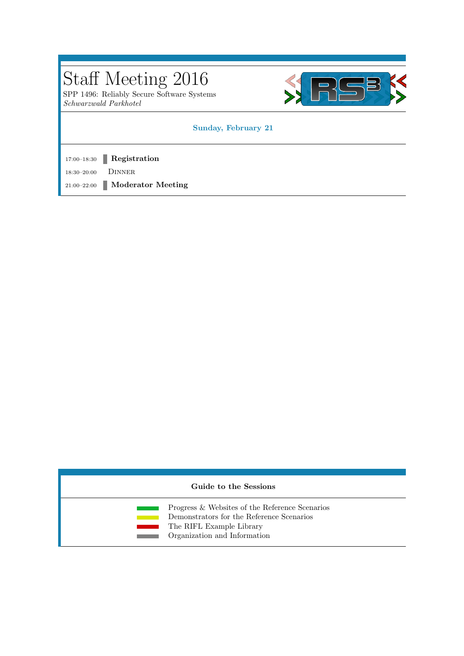SPP 1496: Reliably Secure Software Systems Schwarzwald Parkhotel



#### Sunday, February 21

17:00-18:30 **Registration** 

18:30–20:00 Dinner

21:00–22:00 Moderator Meeting

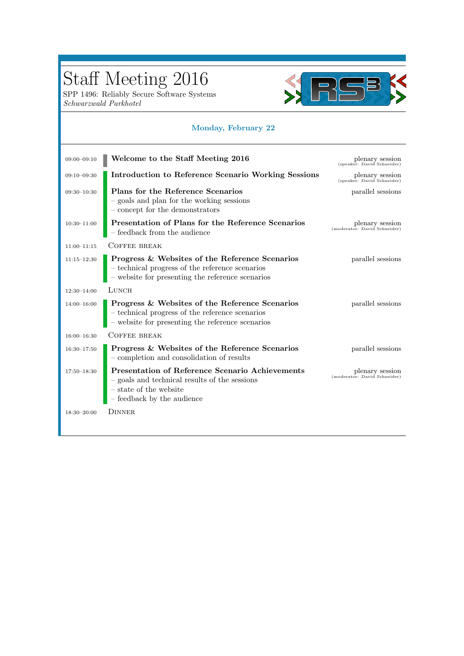SPP 1496: Reliably Secure Software Systems Schwarzwald Parkhotel



### Monday, February 22

| $09:00 - 09:10$ | Welcome to the Staff Meeting 2016                                                                                                                               | plenary session<br>(speaker: David Schneider)   |
|-----------------|-----------------------------------------------------------------------------------------------------------------------------------------------------------------|-------------------------------------------------|
| $09:10 - 09:30$ | Introduction to Reference Scenario Working Sessions                                                                                                             | plenary session<br>(speaker: David Schneider)   |
| $09:30 - 10:30$ | Plans for the Reference Scenarios<br>- goals and plan for the working sessions<br>- concept for the demonstrators                                               | parallel sessions                               |
| $10:30 - 11:00$ | Presentation of Plans for the Reference Scenarios<br>$\hbox{--}$ feedback from the audience                                                                     | plenary session<br>(moderator: David Schneider) |
| $11:00 - 11:15$ | COFFEE BREAK                                                                                                                                                    |                                                 |
| $11:15 - 12:30$ | Progress & Websites of the Reference Scenarios<br>$-$ technical progress of the reference scenarios $-$ website for presenting the reference scenarios          | parallel sessions                               |
| $12:30 - 14:00$ | LUNCH                                                                                                                                                           |                                                 |
| $14:00 - 16:00$ | Progress & Websites of the Reference Scenarios<br>$-$ technical progress of the reference scenarios $-$ website for presenting the reference scenarios          | parallel sessions                               |
| $16:00 - 16:30$ | <b>COFFEE BREAK</b>                                                                                                                                             |                                                 |
| $16:30 - 17:50$ | Progress & Websites of the Reference Scenarios<br>- completion and consolidation of results                                                                     | parallel sessions                               |
| $17:50 - 18:30$ | <b>Presentation of Reference Scenario Achievements</b><br>- goals and technical results of the sessions<br>– state of the website<br>- feedback by the audience | plenary session<br>(moderator: David Schneider) |
| $18:30 - 20:00$ | <b>DINNER</b>                                                                                                                                                   |                                                 |
|                 |                                                                                                                                                                 |                                                 |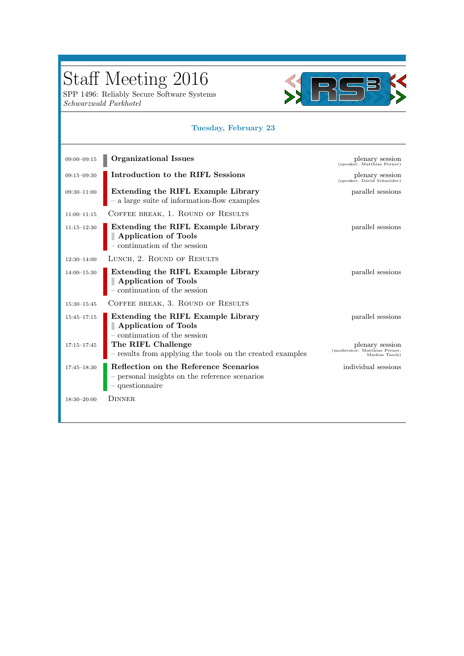SPP 1496: Reliably Secure Software Systems Schwarzwald Parkhotel



### Tuesday, February 23

| $09:00 - 09:15$ | <b>Organizational Issues</b>                                                                                         | plenary session<br>(speaker: Matthias Perner)                    |
|-----------------|----------------------------------------------------------------------------------------------------------------------|------------------------------------------------------------------|
| $09:15 - 09:30$ | Introduction to the RIFL Sessions                                                                                    | plenary session<br>(speaker: David Schneider)                    |
| $09:30 - 11:00$ | Extending the RIFL Example Library<br>$\hbox{--}$ a large suite of information-flow examples                         | parallel sessions                                                |
| $11:00 - 11:15$ | COFFEE BREAK, 1. ROUND OF RESULTS                                                                                    |                                                                  |
| $11:15 - 12:30$ | Extending the RIFL Example Library<br>$\parallel$ Application of Tools – continuation of the session                 | parallel sessions                                                |
| $12:30 - 14:00$ | LUNCH, 2. ROUND OF RESULTS                                                                                           |                                                                  |
| $14:00-15:30$   | <b>Extending the RIFL Example Library</b><br>$\parallel$ Application of Tools<br>– continuation of the session       | parallel sessions                                                |
| $15:30 - 15:45$ | COFFEE BREAK, 3. ROUND OF RESULTS                                                                                    |                                                                  |
| $15:45 - 17:15$ | Extending the RIFL Example Library<br>   Application of Tools<br>$-$ continuation of the session                     | parallel sessions                                                |
| $17:15 - 17:45$ | The RIFL Challenge<br>$-$ results from applying the tools on the created examples                                    | plenary session<br>(moderator: Matthias Perner,<br>Markus Tasch) |
| $17:45 - 18:30$ | Reflection on the Reference Scenarios<br>$\hbox{--}$ personal insights on the reference scenarios<br>- questionnaire | individual sessions                                              |
| $18:30 - 20:00$ | <b>DINNER</b>                                                                                                        |                                                                  |